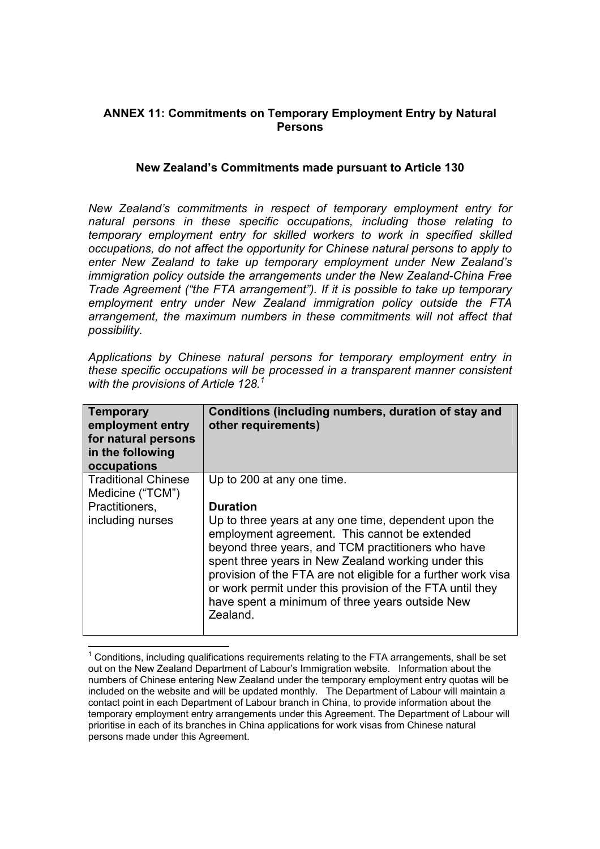## **ANNEX 11: Commitments on Temporary Employment Entry by Natural Persons**

## **New Zealand's Commitments made pursuant to Article 130**

*New Zealand's commitments in respect of temporary employment entry for natural persons in these specific occupations, including those relating to temporary employment entry for skilled workers to work in specified skilled occupations, do not affect the opportunity for Chinese natural persons to apply to enter New Zealand to take up temporary employment under New Zealand's immigration policy outside the arrangements under the New Zealand-China Free Trade Agreement ("the FTA arrangement"). If it is possible to take up temporary employment entry under New Zealand immigration policy outside the FTA arrangement, the maximum numbers in these commitments will not affect that possibility.*

*Applications by Chinese natural persons for temporary employment entry in these specific occupations will be processed in a transparent manner consistent with the provisions of Article 128.1*

| <b>Temporary</b><br>employment entry<br>for natural persons<br>in the following<br>occupations | Conditions (including numbers, duration of stay and<br>other requirements)                                                                                                                                                                                                                                                                                                                                                                                        |
|------------------------------------------------------------------------------------------------|-------------------------------------------------------------------------------------------------------------------------------------------------------------------------------------------------------------------------------------------------------------------------------------------------------------------------------------------------------------------------------------------------------------------------------------------------------------------|
| <b>Traditional Chinese</b><br>Medicine ("TCM")<br>Practitioners,<br>including nurses           | Up to 200 at any one time.<br><b>Duration</b><br>Up to three years at any one time, dependent upon the<br>employment agreement. This cannot be extended<br>beyond three years, and TCM practitioners who have<br>spent three years in New Zealand working under this<br>provision of the FTA are not eligible for a further work visa<br>or work permit under this provision of the FTA until they<br>have spent a minimum of three years outside New<br>Zealand. |

  $1$  Conditions, including qualifications requirements relating to the FTA arrangements, shall be set out on the New Zealand Department of Labour's Immigration website. Information about the numbers of Chinese entering New Zealand under the temporary employment entry quotas will be included on the website and will be updated monthly. The Department of Labour will maintain a contact point in each Department of Labour branch in China, to provide information about the temporary employment entry arrangements under this Agreement. The Department of Labour will prioritise in each of its branches in China applications for work visas from Chinese natural persons made under this Agreement.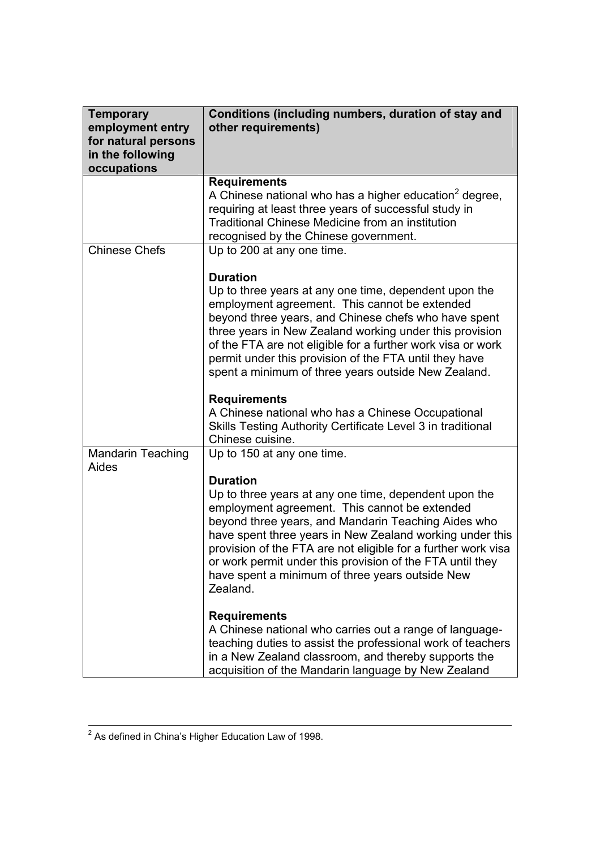| <b>Temporary</b><br>employment entry<br>for natural persons<br>in the following<br>occupations | Conditions (including numbers, duration of stay and<br>other requirements)                                                                                                                                                                                                                                                                                                                                                                          |
|------------------------------------------------------------------------------------------------|-----------------------------------------------------------------------------------------------------------------------------------------------------------------------------------------------------------------------------------------------------------------------------------------------------------------------------------------------------------------------------------------------------------------------------------------------------|
|                                                                                                | <b>Requirements</b><br>A Chinese national who has a higher education <sup>2</sup> degree,<br>requiring at least three years of successful study in<br><b>Traditional Chinese Medicine from an institution</b><br>recognised by the Chinese government.                                                                                                                                                                                              |
| <b>Chinese Chefs</b>                                                                           | Up to 200 at any one time.                                                                                                                                                                                                                                                                                                                                                                                                                          |
|                                                                                                | <b>Duration</b><br>Up to three years at any one time, dependent upon the<br>employment agreement. This cannot be extended<br>beyond three years, and Chinese chefs who have spent<br>three years in New Zealand working under this provision<br>of the FTA are not eligible for a further work visa or work<br>permit under this provision of the FTA until they have<br>spent a minimum of three years outside New Zealand.<br><b>Requirements</b> |
|                                                                                                | A Chinese national who has a Chinese Occupational<br>Skills Testing Authority Certificate Level 3 in traditional<br>Chinese cuisine.                                                                                                                                                                                                                                                                                                                |
| <b>Mandarin Teaching</b><br>Aides                                                              | Up to 150 at any one time.                                                                                                                                                                                                                                                                                                                                                                                                                          |
|                                                                                                | <b>Duration</b><br>Up to three years at any one time, dependent upon the<br>employment agreement. This cannot be extended<br>beyond three years, and Mandarin Teaching Aides who<br>have spent three years in New Zealand working under this<br>provision of the FTA are not eligible for a further work visa<br>or work permit under this provision of the FTA until they<br>have spent a minimum of three years outside New<br>Zealand.           |
|                                                                                                | <b>Requirements</b><br>A Chinese national who carries out a range of language-<br>teaching duties to assist the professional work of teachers<br>in a New Zealand classroom, and thereby supports the<br>acquisition of the Mandarin language by New Zealand                                                                                                                                                                                        |

2 As defined in China's Higher Education Law of 1998.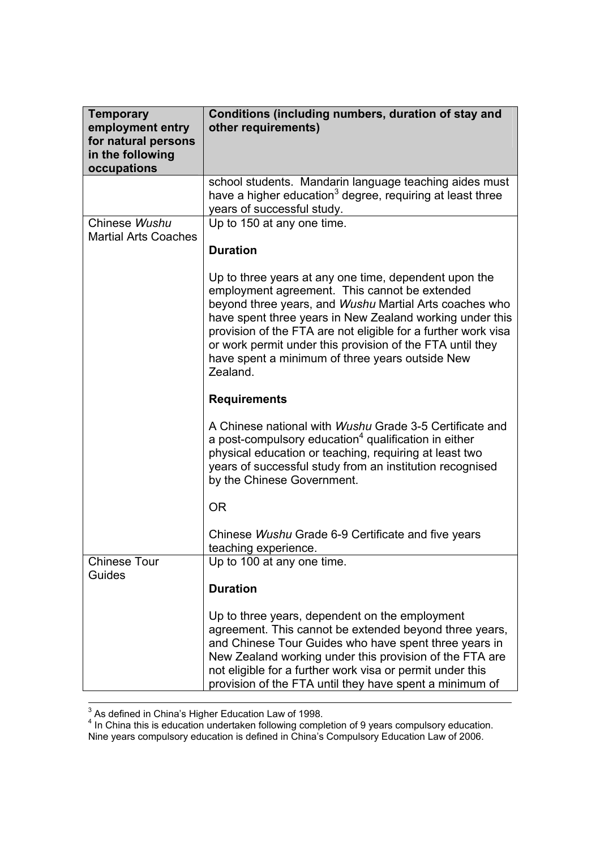| <b>Temporary</b><br>employment entry<br>for natural persons<br>in the following<br>occupations | Conditions (including numbers, duration of stay and<br>other requirements)                                                                                                                                                                                                                                                                                                                                                |
|------------------------------------------------------------------------------------------------|---------------------------------------------------------------------------------------------------------------------------------------------------------------------------------------------------------------------------------------------------------------------------------------------------------------------------------------------------------------------------------------------------------------------------|
|                                                                                                | school students. Mandarin language teaching aides must<br>have a higher education <sup>3</sup> degree, requiring at least three<br>years of successful study.                                                                                                                                                                                                                                                             |
| Chinese Wushu<br><b>Martial Arts Coaches</b>                                                   | Up to 150 at any one time.                                                                                                                                                                                                                                                                                                                                                                                                |
|                                                                                                | <b>Duration</b>                                                                                                                                                                                                                                                                                                                                                                                                           |
|                                                                                                | Up to three years at any one time, dependent upon the<br>employment agreement. This cannot be extended<br>beyond three years, and Wushu Martial Arts coaches who<br>have spent three years in New Zealand working under this<br>provision of the FTA are not eligible for a further work visa<br>or work permit under this provision of the FTA until they<br>have spent a minimum of three years outside New<br>Zealand. |
|                                                                                                | <b>Requirements</b>                                                                                                                                                                                                                                                                                                                                                                                                       |
|                                                                                                | A Chinese national with Wushu Grade 3-5 Certificate and<br>a post-compulsory education <sup>4</sup> qualification in either<br>physical education or teaching, requiring at least two<br>years of successful study from an institution recognised<br>by the Chinese Government.                                                                                                                                           |
|                                                                                                | <b>OR</b>                                                                                                                                                                                                                                                                                                                                                                                                                 |
|                                                                                                | Chinese Wushu Grade 6-9 Certificate and five years<br>teaching experience.                                                                                                                                                                                                                                                                                                                                                |
| <b>Chinese Tour</b><br>Guides                                                                  | Up to 100 at any one time.                                                                                                                                                                                                                                                                                                                                                                                                |
|                                                                                                | <b>Duration</b>                                                                                                                                                                                                                                                                                                                                                                                                           |
|                                                                                                | Up to three years, dependent on the employment<br>agreement. This cannot be extended beyond three years,<br>and Chinese Tour Guides who have spent three years in<br>New Zealand working under this provision of the FTA are<br>not eligible for a further work visa or permit under this<br>provision of the FTA until they have spent a minimum of                                                                      |

<sup>3</sup> As defined in China's Higher Education Law of 1998.<br><sup>4</sup> In China this is education undertaken following completion of 9 years compulsory education. Nine years compulsory education is defined in China's Compulsory Education Law of 2006.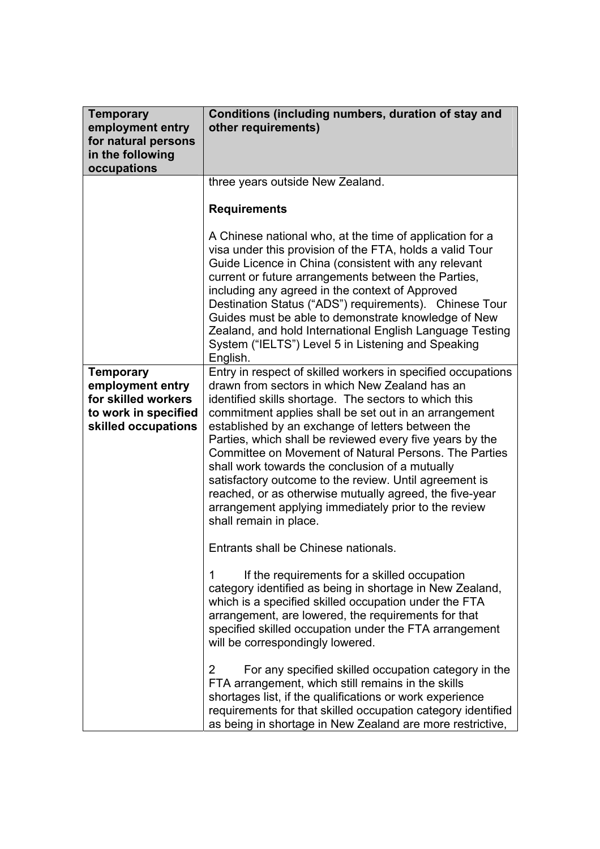| <b>Temporary</b><br>employment entry<br>for natural persons<br>in the following<br>occupations             | Conditions (including numbers, duration of stay and<br>other requirements)                                                                                                                                                                                                                                                                                                                                                                                                                                                                                                                                                                                                                                                                                                                                                                                                                                                                                                                                                                                                                                                                                                          |
|------------------------------------------------------------------------------------------------------------|-------------------------------------------------------------------------------------------------------------------------------------------------------------------------------------------------------------------------------------------------------------------------------------------------------------------------------------------------------------------------------------------------------------------------------------------------------------------------------------------------------------------------------------------------------------------------------------------------------------------------------------------------------------------------------------------------------------------------------------------------------------------------------------------------------------------------------------------------------------------------------------------------------------------------------------------------------------------------------------------------------------------------------------------------------------------------------------------------------------------------------------------------------------------------------------|
|                                                                                                            | three years outside New Zealand.<br><b>Requirements</b>                                                                                                                                                                                                                                                                                                                                                                                                                                                                                                                                                                                                                                                                                                                                                                                                                                                                                                                                                                                                                                                                                                                             |
| <b>Temporary</b><br>employment entry<br>for skilled workers<br>to work in specified<br>skilled occupations | A Chinese national who, at the time of application for a<br>visa under this provision of the FTA, holds a valid Tour<br>Guide Licence in China (consistent with any relevant<br>current or future arrangements between the Parties,<br>including any agreed in the context of Approved<br>Destination Status ("ADS") requirements). Chinese Tour<br>Guides must be able to demonstrate knowledge of New<br>Zealand, and hold International English Language Testing<br>System ("IELTS") Level 5 in Listening and Speaking<br>English.<br>Entry in respect of skilled workers in specified occupations<br>drawn from sectors in which New Zealand has an<br>identified skills shortage. The sectors to which this<br>commitment applies shall be set out in an arrangement<br>established by an exchange of letters between the<br>Parties, which shall be reviewed every five years by the<br>Committee on Movement of Natural Persons. The Parties<br>shall work towards the conclusion of a mutually<br>satisfactory outcome to the review. Until agreement is<br>reached, or as otherwise mutually agreed, the five-year<br>arrangement applying immediately prior to the review |
|                                                                                                            | shall remain in place.<br>Entrants shall be Chinese nationals.                                                                                                                                                                                                                                                                                                                                                                                                                                                                                                                                                                                                                                                                                                                                                                                                                                                                                                                                                                                                                                                                                                                      |
|                                                                                                            | If the requirements for a skilled occupation<br>1<br>category identified as being in shortage in New Zealand,<br>which is a specified skilled occupation under the FTA<br>arrangement, are lowered, the requirements for that<br>specified skilled occupation under the FTA arrangement<br>will be correspondingly lowered.                                                                                                                                                                                                                                                                                                                                                                                                                                                                                                                                                                                                                                                                                                                                                                                                                                                         |
|                                                                                                            | For any specified skilled occupation category in the<br>$\overline{2}$<br>FTA arrangement, which still remains in the skills<br>shortages list, if the qualifications or work experience<br>requirements for that skilled occupation category identified<br>as being in shortage in New Zealand are more restrictive,                                                                                                                                                                                                                                                                                                                                                                                                                                                                                                                                                                                                                                                                                                                                                                                                                                                               |